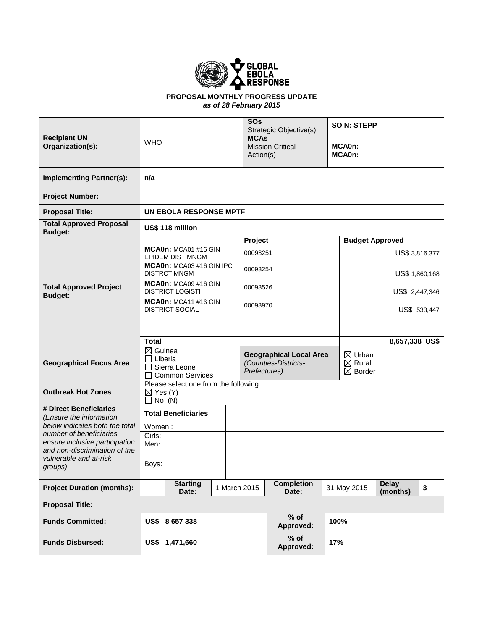

#### **PROPOSAL MONTHLY PROGRESS UPDATE** *as of 28 February 2015*

| <b>Recipient UN</b><br>Organization(s):                   |                                                                       |                               |              | <b>SOs</b>                           | SO N: STEPP<br>Strategic Objective(s) |                  |                                         |                |  |
|-----------------------------------------------------------|-----------------------------------------------------------------------|-------------------------------|--------------|--------------------------------------|---------------------------------------|------------------|-----------------------------------------|----------------|--|
|                                                           | <b>WHO</b>                                                            |                               |              | <b>MCAs</b>                          |                                       |                  |                                         |                |  |
|                                                           |                                                                       |                               |              | <b>Mission Critical</b><br>Action(s) |                                       | MCA0n:<br>MCA0n: |                                         |                |  |
|                                                           |                                                                       |                               |              |                                      |                                       |                  |                                         |                |  |
| <b>Implementing Partner(s):</b>                           | n/a                                                                   |                               |              |                                      |                                       |                  |                                         |                |  |
| <b>Project Number:</b>                                    |                                                                       |                               |              |                                      |                                       |                  |                                         |                |  |
| <b>Proposal Title:</b>                                    |                                                                       | <b>UN EBOLA RESPONSE MPTF</b> |              |                                      |                                       |                  |                                         |                |  |
| <b>Total Approved Proposal</b><br><b>Budget:</b>          |                                                                       | US\$ 118 million              |              |                                      |                                       |                  |                                         |                |  |
|                                                           |                                                                       |                               |              | Project                              |                                       |                  | <b>Budget Approved</b>                  |                |  |
|                                                           | MCA0n: MCA01 #16 GIN<br><b>EPIDEM DIST MNGM</b>                       |                               |              | 00093251                             |                                       |                  |                                         | US\$ 3,816,377 |  |
|                                                           | MCA0n: MCA03 #16 GIN IPC<br><b>DISTRCT MNGM</b>                       |                               |              |                                      | 00093254                              |                  | US\$ 1,860,168                          |                |  |
| <b>Total Approved Project</b><br><b>Budget:</b>           | MCA0n: MCA09 #16 GIN<br><b>DISTRICT LOGISTI</b>                       |                               |              |                                      | 00093526                              |                  | US\$ 2,447,346                          |                |  |
|                                                           | MCA0n: MCA11 #16 GIN<br><b>DISTRICT SOCIAL</b>                        |                               |              | 00093970                             |                                       | US\$ 533,447     |                                         |                |  |
|                                                           |                                                                       |                               |              |                                      |                                       |                  |                                         |                |  |
|                                                           |                                                                       |                               |              |                                      |                                       |                  |                                         |                |  |
|                                                           | <b>Total</b>                                                          |                               |              |                                      |                                       |                  |                                         | 8,657,338 US\$ |  |
|                                                           | $\boxtimes$ Guinea<br>Liberia                                         |                               |              |                                      | <b>Geographical Local Area</b>        |                  | $\boxtimes$ Urban                       |                |  |
| <b>Geographical Focus Area</b>                            | Sierra Leone                                                          |                               |              |                                      | (Counties-Districts-<br>Prefectures)  |                  | $\boxtimes$ Rural<br>$\boxtimes$ Border |                |  |
|                                                           |                                                                       | <b>Common Services</b>        |              |                                      |                                       |                  |                                         |                |  |
| <b>Outbreak Hot Zones</b>                                 | Please select one from the following<br>$\boxtimes$ Yes (Y)<br>No (N) |                               |              |                                      |                                       |                  |                                         |                |  |
| # Direct Beneficiaries<br>(Ensure the information         |                                                                       | <b>Total Beneficiaries</b>    |              |                                      |                                       |                  |                                         |                |  |
| below indicates both the total                            | Women:                                                                |                               |              |                                      |                                       |                  |                                         |                |  |
| number of beneficiaries<br>ensure inclusive participation | Girls:<br>Men:                                                        |                               |              |                                      |                                       |                  |                                         |                |  |
| and non-discrimination of the                             |                                                                       |                               |              |                                      |                                       |                  |                                         |                |  |
| vulnerable and at-risk<br>groups)                         | Boys:                                                                 |                               |              |                                      |                                       |                  |                                         |                |  |
| <b>Project Duration (months):</b>                         | <b>Starting</b><br>Date:                                              |                               | 1 March 2015 | <b>Completion</b><br>Date:           |                                       | 31 May 2015      | <b>Delay</b><br>(months)                | 3              |  |
| <b>Proposal Title:</b>                                    |                                                                       |                               |              |                                      |                                       |                  |                                         |                |  |
| <b>Funds Committed:</b>                                   |                                                                       | US\$ 8657338                  |              |                                      | $%$ of<br>Approved:                   | 100%             |                                         |                |  |
| <b>Funds Disbursed:</b>                                   |                                                                       | US\$ 1,471,660                |              |                                      | % of<br>Approved:                     | 17%              |                                         |                |  |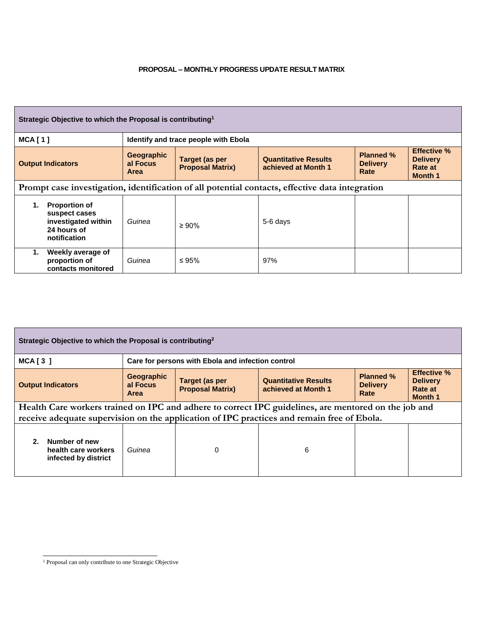#### **PROPOSAL – MONTHLY PROGRESS UPDATE RESULT MATRIX**

| Strategic Objective to which the Proposal is contributing <sup>1</sup>                          |                                                                                             |                                |                                                  |                                                    |                                             |                                                                    |  |
|-------------------------------------------------------------------------------------------------|---------------------------------------------------------------------------------------------|--------------------------------|--------------------------------------------------|----------------------------------------------------|---------------------------------------------|--------------------------------------------------------------------|--|
| <b>MCA[1]</b><br>Identify and trace people with Ebola                                           |                                                                                             |                                |                                                  |                                                    |                                             |                                                                    |  |
| <b>Output Indicators</b>                                                                        |                                                                                             | Geographic<br>al Focus<br>Area | <b>Target (as per</b><br><b>Proposal Matrix)</b> | <b>Quantitative Results</b><br>achieved at Month 1 | <b>Planned %</b><br><b>Delivery</b><br>Rate | <b>Effective %</b><br><b>Delivery</b><br>Rate at<br><b>Month 1</b> |  |
| Prompt case investigation, identification of all potential contacts, effective data integration |                                                                                             |                                |                                                  |                                                    |                                             |                                                                    |  |
| 1.                                                                                              | <b>Proportion of</b><br>suspect cases<br>investigated within<br>24 hours of<br>notification | Guinea                         | $\geq 90\%$                                      | 5-6 days                                           |                                             |                                                                    |  |
| 1.                                                                                              | Weekly average of<br>proportion of<br>contacts monitored                                    | Guinea                         | ≤ 95%                                            | 97%                                                |                                             |                                                                    |  |

| Strategic Objective to which the Proposal is contributing <sup>2</sup>                                                                                                                             |                                                   |                                           |                                                    |                                             |                                                                    |  |  |  |
|----------------------------------------------------------------------------------------------------------------------------------------------------------------------------------------------------|---------------------------------------------------|-------------------------------------------|----------------------------------------------------|---------------------------------------------|--------------------------------------------------------------------|--|--|--|
| $MCA$ [ 3 ]                                                                                                                                                                                        | Care for persons with Ebola and infection control |                                           |                                                    |                                             |                                                                    |  |  |  |
| <b>Output Indicators</b>                                                                                                                                                                           | Geographic<br>al Focus<br><b>Area</b>             | Target (as per<br><b>Proposal Matrix)</b> | <b>Quantitative Results</b><br>achieved at Month 1 | <b>Planned %</b><br><b>Delivery</b><br>Rate | <b>Effective %</b><br><b>Delivery</b><br>Rate at<br><b>Month 1</b> |  |  |  |
| Health Care workers trained on IPC and adhere to correct IPC guidelines, are mentored on the job and<br>receive adequate supervision on the application of IPC practices and remain free of Ebola. |                                                   |                                           |                                                    |                                             |                                                                    |  |  |  |
| Number of new<br>2.<br>health care workers<br>infected by district                                                                                                                                 | Guinea                                            | 0                                         | 6                                                  |                                             |                                                                    |  |  |  |

 $\overline{a}$ <sup>1</sup> Proposal can only contribute to one Strategic Objective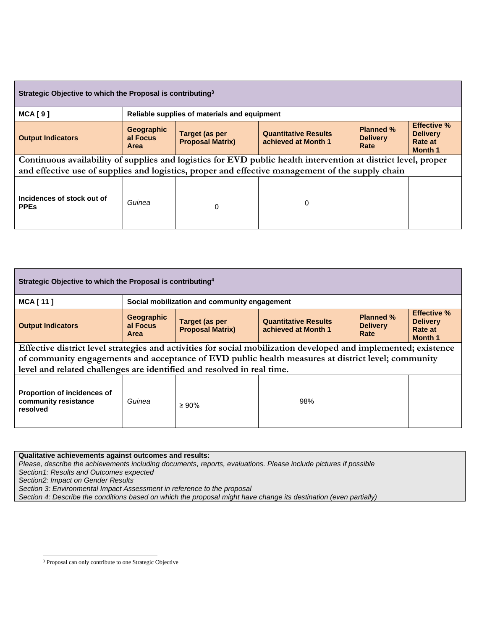| Strategic Objective to which the Proposal is contributing <sup>3</sup>                                                                                                                                             |                                              |          |                                                    |                                             |                                                                    |  |  |
|--------------------------------------------------------------------------------------------------------------------------------------------------------------------------------------------------------------------|----------------------------------------------|----------|----------------------------------------------------|---------------------------------------------|--------------------------------------------------------------------|--|--|
| <b>MCA[9]</b>                                                                                                                                                                                                      | Reliable supplies of materials and equipment |          |                                                    |                                             |                                                                    |  |  |
| <b>Output Indicators</b>                                                                                                                                                                                           | Geographic<br>al Focus<br><b>Area</b>        |          | <b>Quantitative Results</b><br>achieved at Month 1 | <b>Planned %</b><br><b>Delivery</b><br>Rate | <b>Effective %</b><br><b>Delivery</b><br>Rate at<br><b>Month 1</b> |  |  |
| Continuous availability of supplies and logistics for EVD public health intervention at district level, proper<br>and effective use of supplies and logistics, proper and effective management of the supply chain |                                              |          |                                                    |                                             |                                                                    |  |  |
| Incidences of stock out of<br><b>PPEs</b>                                                                                                                                                                          | Guinea                                       | $\Omega$ | 0                                                  |                                             |                                                                    |  |  |

| Strategic Objective to which the Proposal is contributing <sup>4</sup>                                                                                                                                                                                                                          |                                              |                                                  |                                                    |                                             |                                                                    |  |  |
|-------------------------------------------------------------------------------------------------------------------------------------------------------------------------------------------------------------------------------------------------------------------------------------------------|----------------------------------------------|--------------------------------------------------|----------------------------------------------------|---------------------------------------------|--------------------------------------------------------------------|--|--|
| <b>MCA [11]</b>                                                                                                                                                                                                                                                                                 | Social mobilization and community engagement |                                                  |                                                    |                                             |                                                                    |  |  |
| <b>Output Indicators</b>                                                                                                                                                                                                                                                                        | Geographic<br>al Focus<br><b>Area</b>        | <b>Target (as per</b><br><b>Proposal Matrix)</b> | <b>Quantitative Results</b><br>achieved at Month 1 | <b>Planned %</b><br><b>Delivery</b><br>Rate | <b>Effective %</b><br><b>Delivery</b><br>Rate at<br><b>Month 1</b> |  |  |
| Effective district level strategies and activities for social mobilization developed and implemented; existence<br>of community engagements and acceptance of EVD public health measures at district level; community<br>level and related challenges are identified and resolved in real time. |                                              |                                                  |                                                    |                                             |                                                                    |  |  |
| <b>Proportion of incidences of</b><br>community resistance<br>resolved                                                                                                                                                                                                                          | Guinea                                       | $\geq 90\%$                                      | 98%                                                |                                             |                                                                    |  |  |

**Qualitative achievements against outcomes and results:**

*Please, describe the achievements including documents, reports, evaluations. Please include pictures if possible*

*Section1: Results and Outcomes expected* 

*Section2: Impact on Gender Results*

*Section 3: Environmental Impact Assessment in reference to the proposal* 

*Section 4: Describe the conditions based on which the proposal might have change its destination (even partially)*

 $\overline{a}$ <sup>3</sup> Proposal can only contribute to one Strategic Objective